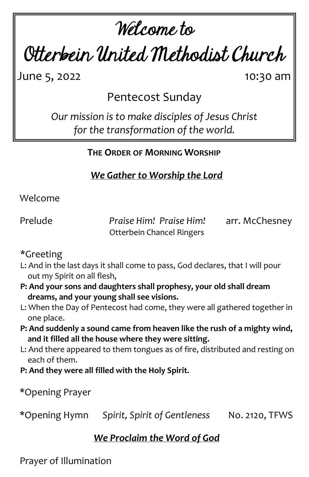# Welcome to

Otterbein United Methodist Church

June 5, 2022 10:30 am

Pentecost Sunday

*Our mission is to make disciples of Jesus Christ for the transformation of the world.*

**THE ORDER OF MORNING WORSHIP**

*We Gather to Worship the Lord*

Welcome

Prelude *Praise Him! Praise Him!* arr. McChesney Otterbein Chancel Ringers

\*Greeting

- L: And in the last days it shall come to pass, God declares, that I will pour out my Spirit on all flesh,
- **P: And your sons and daughters shall prophesy, your old shall dream dreams, and your young shall see visions.**
- L: When the Day of Pentecost had come, they were all gathered together in one place.
- **P: And suddenly a sound came from heaven like the rush of a mighty wind, and it filled all the house where they were sitting.**
- L: And there appeared to them tongues as of fire, distributed and resting on each of them.
- **P: And they were all filled with the Holy Spirit.**

\*Opening Prayer

\*Opening Hymn *Spirit, Spirit of Gentleness* No. 2120, TFWS

# *We Proclaim the Word of God*

Prayer of Illumination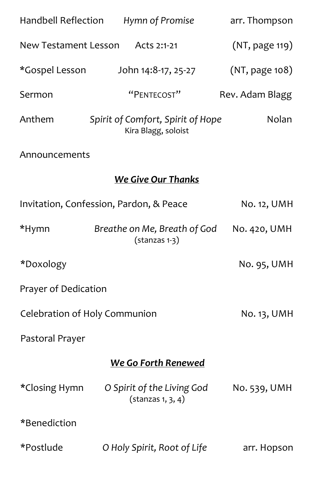| Handbell Reflection                                | Hymn of Promise                                           | arr. Thompson   |
|----------------------------------------------------|-----------------------------------------------------------|-----------------|
| New Testament Lesson Acts 2:1-21<br>(NT, page 119) |                                                           |                 |
| *Gospel Lesson                                     | John 14:8-17, 25-27                                       | (NT, page 108)  |
| Sermon                                             | "PENTECOST"                                               | Rev. Adam Blagg |
| Anthem                                             | Spirit of Comfort, Spirit of Hope<br>Kira Blagg, soloist  | Nolan           |
| Announcements                                      |                                                           |                 |
|                                                    | <b>We Give Our Thanks</b>                                 |                 |
| Invitation, Confession, Pardon, & Peace            |                                                           | No. 12, UMH     |
| *Hymn                                              | Breathe on Me, Breath of God<br>$($ stanzas 1-3 $)$       | No. 420, UMH    |
| *Doxology                                          |                                                           | No. 95, UMH     |
| Prayer of Dedication                               |                                                           |                 |
| Celebration of Holy Communion                      |                                                           | No. 13, UMH     |
| Pastoral Prayer                                    |                                                           |                 |
| <b>We Go Forth Renewed</b>                         |                                                           |                 |
| *Closing Hymn                                      | O Spirit of the Living God<br>$(\text{stanzas } 1, 3, 4)$ | No. 539, UMH    |
| *Benediction                                       |                                                           |                 |
| *Postlude                                          | O Holy Spirit, Root of Life                               | arr. Hopson     |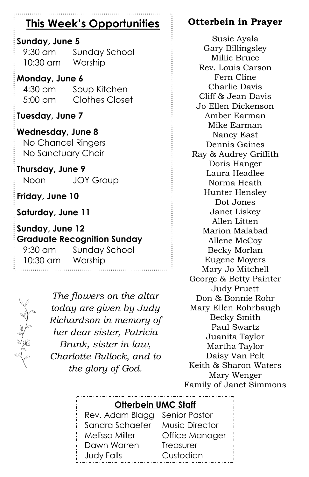# **This Week's Opportunities**

#### **Sunday, June 5**

9:30 am Sunday School 10:30 am Worship

#### **Monday, June 6**

4:30 pm Soup Kitchen 5:00 pm Clothes Closet

**Tuesday, June 7**

**Wednesday, June 8** No Chancel Ringers No Sanctuary Choir

**Thursday, June 9** Noon JOY Group

**Friday, June 10**

**Saturday, June 11**

**Sunday, June 12 Graduate Recognition Sunday**

9:30 am Sunday School 10:30 am Worship



*The flowers on the altar today are given by Judy Richardson in memory of her dear sister, Patricia Brunk, sister-in-law, Charlotte Bullock, and to the glory of God.*

## **Otterbein in Prayer**

Susie Ayala Gary Billingsley Millie Bruce Rev. Louis Carson Fern Cline Charlie Davis Cliff & Jean Davis Jo Ellen Dickenson Amber Earman Mike Earman Nancy East Dennis Gaines Ray & Audrey Griffith Doris Hanger Laura Headlee Norma Heath Hunter Hensley Dot Jones Janet Liskey Allen Litten Marion Malabad Allene McCoy Becky Morlan Eugene Moyers Mary Jo Mitchell George & Betty Painter Judy Pruett Don & Bonnie Rohr Mary Ellen Rohrbaugh Becky Smith Paul Swartz Juanita Taylor Martha Taylor Daisy Van Pelt Keith & Sharon Waters Mary Wenger Family of Janet Simmons

#### **Otterbein UMC Staff**

Rev. Adam Blagg Senior Pastor Sandra Schaefer Music Director Melissa Miller Office Manager Dawn Warren Treasurer Judy Falls Custodian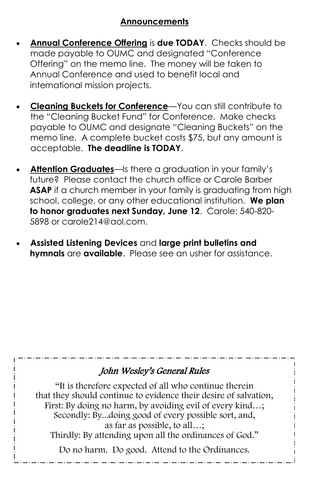#### **Announcements**

- **Annual Conference Offering** is **due TODAY**. Checks should be made payable to OUMC and designated "Conference Offering" on the memo line. The money will be taken to Annual Conference and used to benefit local and international mission projects.
- **Cleaning Buckets for Conference**—You can still contribute to the "Cleaning Bucket Fund" for Conference. Make checks payable to OUMC and designate "Cleaning Buckets" on the memo line. A complete bucket costs \$75, but any amount is acceptable. **The deadline is TODAY**.
- **Attention Graduates**—Is there a graduation in your family's future? Please contact the church office or Carole Barber **ASAP** if a church member in your family is graduating from high school, college, or any other educational institution. **We plan to honor graduates next Sunday, June 12**. Carole: 540-820- 5898 or carole214@aol.com.
- **Assisted Listening Devices** and **large print bulletins and hymnals** are **available**. Please see an usher for assistance.

#### John Wesley's General Rules

"It is therefore expected of all who continue therein that they should continue to evidence their desire of salvation, First: By doing no harm, by avoiding evil of every kind…; Secondly: By...doing good of every possible sort, and, as far as possible, to all…; Thirdly: By attending upon all the ordinances of God."

Do no harm. Do good. Attend to the Ordinances.